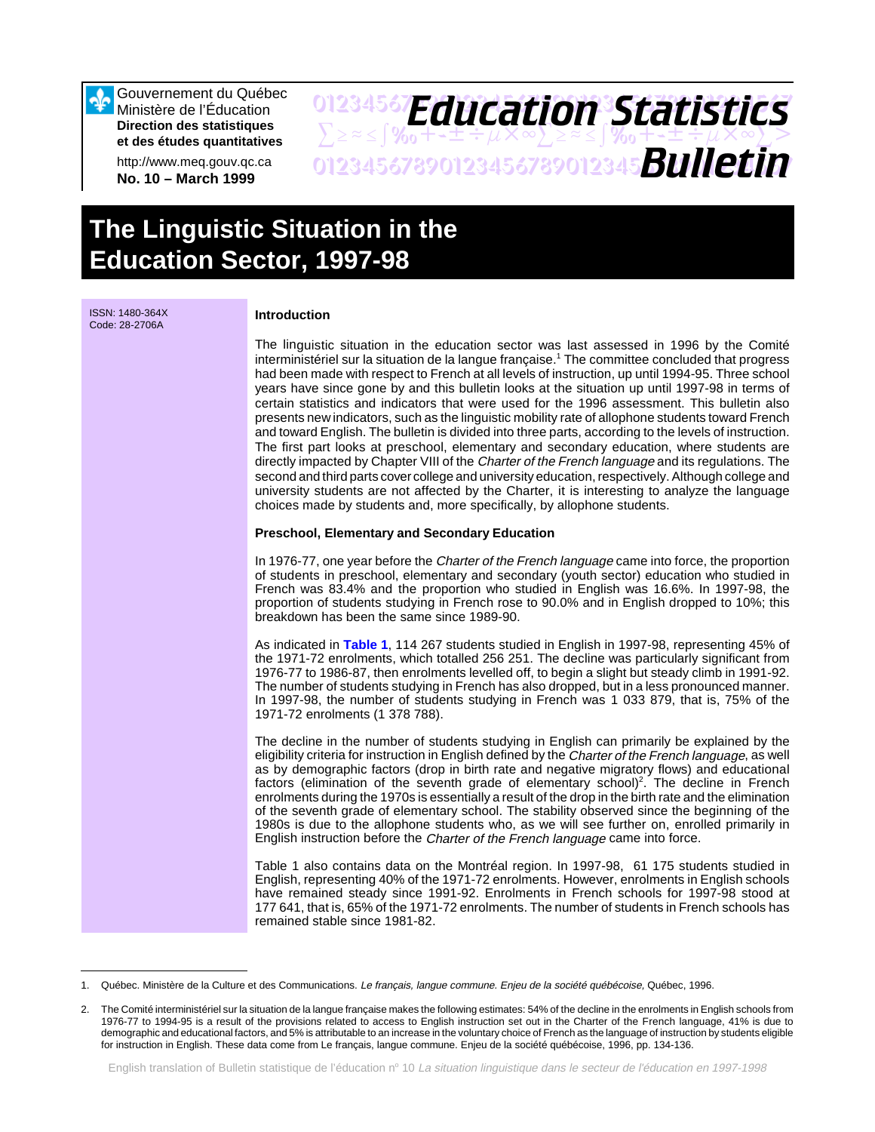Gouvernement du Québec Ministère de l'Éducation **Direction des statistiques et des études quantitatives**

http://www.meq.gouv.qc.ca **No. 10 – March 1999**

## 01234567**F***Anri Stion Statictice*  $\sum z \approx \int \mathcal{X}_0 + \pm \pm \div \mu \times \infty$  $\sum z \approx \pm \int \mathcal{X}_0 + \pm \pm \div \mu \times \infty$  $\sum >$ 01234567890123456789012345678901234567 *Bulletin Education Statistics*

# **The Linguistic Situation in the Education Sector, 1997-98**

ISSN: 1480-364X Code: 28-2706A **Introduction** The linguistic situation in the education sector was last assessed in 1996 by the Comité interministériel sur la situation de la langue française.<sup>1</sup> The committee concluded that progress had been made with respect to French at all levels of instruction, up until 1994-95. Three school years have since gone by and this bulletin looks at the situation up until 1997-98 in terms of certain statistics and indicators that were used for the 1996 assessment. This bulletin also presents new indicators, such as the linguistic mobility rate of allophone students toward French and toward English. The bulletin is divided into three parts, according to the levels of instruction. The first part looks at preschool, elementary and secondary education, where students are directly impacted by Chapter VIII of the Charter of the French language and its regulations. The second and third parts cover college and university education, respectively. Although college and university students are not affected by the Charter, it is interesting to analyze the language choices made by students and, more specifically, by allophone students. **Preschool, Elementary and Secondary Education**  In 1976-77, one year before the *Charter of the French language* came into force, the proportion of students in preschool, elementary and secondary (youth sector) education who studied in French was 83.4% and the proportion who studied in English was 16.6%. In 1997-98, the proportion of students studying in French rose to 90.0% and in English dropped to 10%; this breakdown has been the same since 1989-90. As indicated in **[Table 1](#page-1-0)**, 114 267 students studied in English in 1997-98, representing 45% of the 1971-72 enrolments, which totalled 256 251. The decline was particularly significant from 1976-77 to 1986-87, then enrolments levelled off, to begin a slight but steady climb in 1991-92. The number of students studying in French has also dropped, but in a less pronounced manner. In 1997-98, the number of students studying in French was 1 033 879, that is, 75% of the 1971-72 enrolments (1 378 788). The decline in the number of students studying in English can primarily be explained by the eligibility criteria for instruction in English defined by the Charter of the French language, as well as by demographic factors (drop in birth rate and negative migratory flows) and educational factors (elimination of the seventh grade of elementary school)<sup>2</sup>. The decline in French enrolments during the 1970s is essentially a result of the drop in the birth rate and the elimination of the seventh grade of elementary school. The stability observed since the beginning of the 1980s is due to the allophone students who, as we will see further on, enrolled primarily in English instruction before the Charter of the French language came into force.

Table 1 also contains data on the Montréal region. In 1997-98, 61 175 students studied in English, representing 40% of the 1971-72 enrolments. However, enrolments in English schools have remained steady since 1991-92. Enrolments in French schools for 1997-98 stood at 177 641, that is, 65% of the 1971-72 enrolments. The number of students in French schools has remained stable since 1981-82.

<sup>1.</sup> Québec. Ministère de la Culture et des Communications. Le français, langue commune. Enjeu de la société québécoise, Québec, 1996.

<sup>2.</sup> The Comité interministériel sur la situation de la langue française makes the following estimates: 54% of the decline in the enrolments in English schools from 1976-77 to 1994-95 is a result of the provisions related to access to English instruction set out in the Charter of the French language, 41% is due to demographic and educational factors, and 5% is attributable to an increase in the voluntary choice of French as the language of instruction by students eligible for instruction in English. These data come from Le français, langue commune. Enjeu de la société québécoise, 1996, pp. 134-136.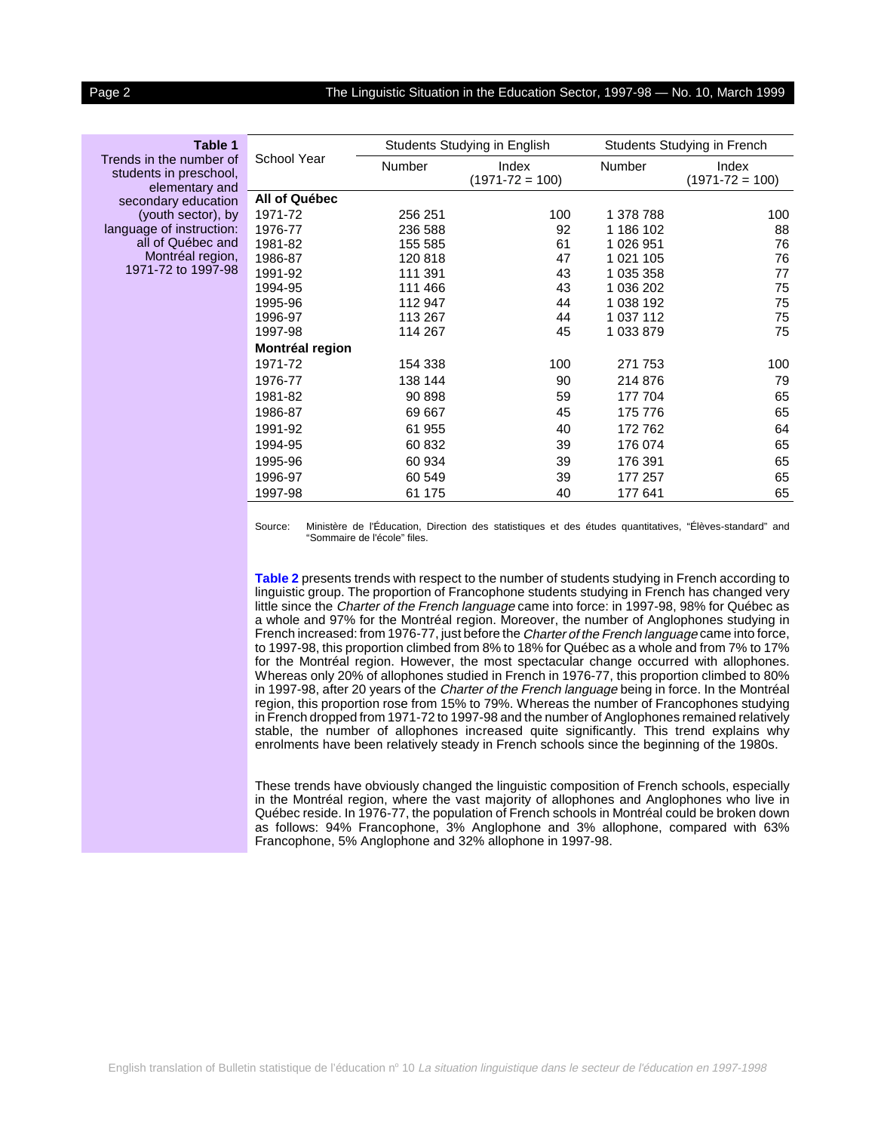#### <span id="page-1-0"></span>Page 2 The Linguistic Situation in the Education Sector, 1997-98 — No. 10, March 1999

#### **Table 1**

Trends in the number of students in preschool, elementary and secondary education (youth sector), by language of instruction: all of Québec and Montréal region, 1971-72 to 1997-98

| School Year<br>Number<br>Number<br>Index<br>Index<br>$(1971 - 72 = 100)$<br>$(1971 - 72 = 100)$ |     |
|-------------------------------------------------------------------------------------------------|-----|
| All of Québec                                                                                   |     |
| 1971-72<br>100<br>256 251<br>1 378 788                                                          | 100 |
| 92<br>186 102<br>1976-77<br>236 588                                                             | 88  |
| 1981-82<br>61<br>1 026 951<br>155 585                                                           | 76  |
| 120818<br>47<br>1 021 105<br>1986-87                                                            | 76  |
| 1991-92<br>111 391<br>1 035 358<br>43                                                           | 77  |
| 111 466<br>1 036 202<br>1994-95<br>43                                                           | 75  |
| 1995-96<br>1 038 192<br>112 947<br>44                                                           | 75  |
| 113 267<br>1 037 112<br>1996-97<br>44                                                           | 75  |
| 114 267<br>1 033 879<br>1997-98<br>45                                                           | 75  |
| Montréal region                                                                                 |     |
| 1971-72<br>100<br>271 753<br>154 338                                                            | 100 |
| 1976-77<br>138 144<br>90<br>214 876                                                             | 79  |
| 1981-82<br>90 898<br>59<br>177 704                                                              | 65  |
| 1986-87<br>69 667<br>45<br>175 776                                                              | 65  |
| 1991-92<br>61 955<br>40<br>172762                                                               | 64  |
| 1994-95<br>60 832<br>39<br>176 074                                                              | 65  |
| 1995-96<br>60 934<br>176 391<br>39                                                              | 65  |
| 60 549<br>1996-97<br>39<br>177 257                                                              | 65  |
| 1997-98<br>61 175<br>40<br>177 641                                                              | 65  |

Source: Ministère de l'Éducation, Direction des statistiques et des études quantitatives, "Élèves-standard" and "Sommaire de l'école" files.

**[Table 2](#page-2-0)** presents trends with respect to the number of students studying in French according to linguistic group. The proportion of Francophone students studying in French has changed very little since the *Charter of the French language* came into force: in 1997-98, 98% for Québec as a whole and 97% for the Montréal region. Moreover, the number of Anglophones studying in French increased: from 1976-77, just before the Charter of the French language came into force, to 1997-98, this proportion climbed from 8% to 18% for Québec as a whole and from 7% to 17% for the Montréal region. However, the most spectacular change occurred with allophones. Whereas only 20% of allophones studied in French in 1976-77, this proportion climbed to 80% in 1997-98, after 20 years of the Charter of the French language being in force. In the Montréal region, this proportion rose from 15% to 79%. Whereas the number of Francophones studying in French dropped from 1971-72 to 1997-98 and the number of Anglophones remained relatively stable, the number of allophones increased quite significantly. This trend explains why enrolments have been relatively steady in French schools since the beginning of the 1980s.

These trends have obviously changed the linguistic composition of French schools, especially in the Montréal region, where the vast majority of allophones and Anglophones who live in Québec reside. In 1976-77, the population of French schools in Montréal could be broken down as follows: 94% Francophone, 3% Anglophone and 3% allophone, compared with 63% Francophone, 5% Anglophone and 32% allophone in 1997-98.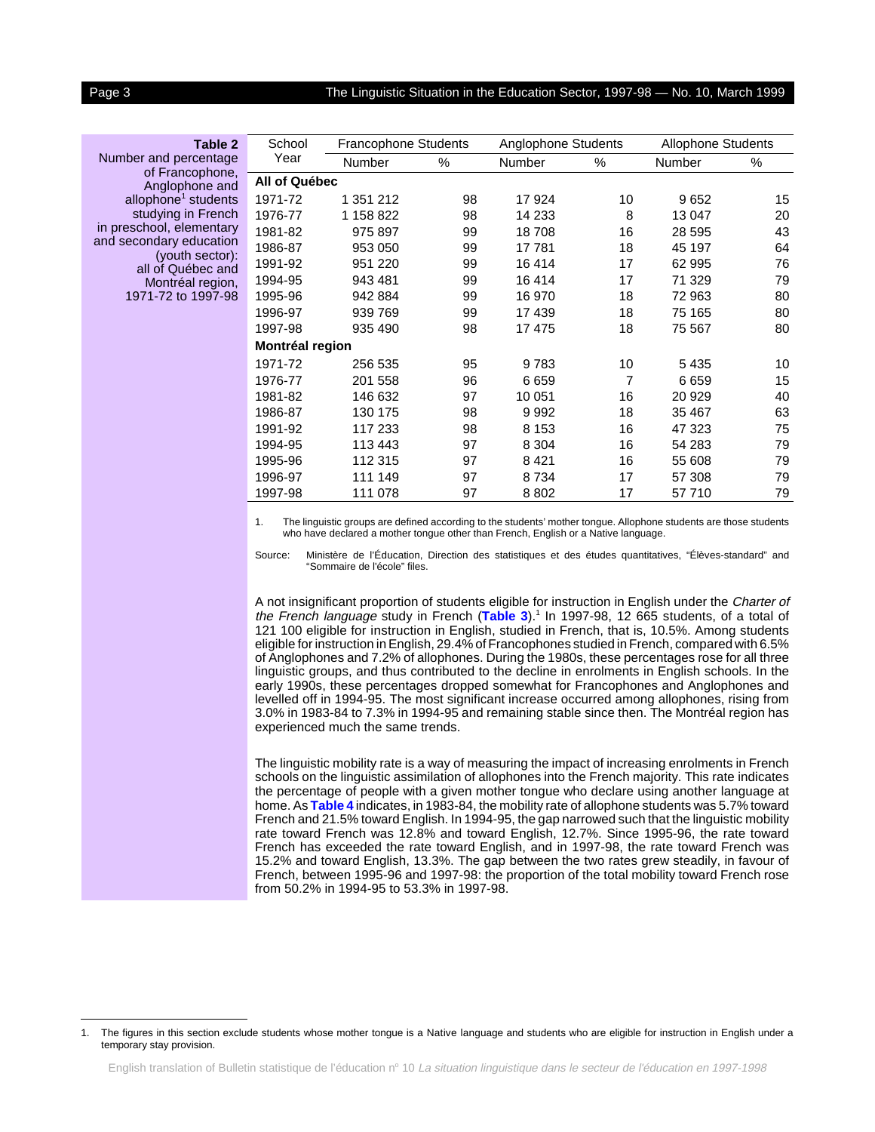#### <span id="page-2-0"></span>Page 3 The Linguistic Situation in the Education Sector, 1997-98 — No. 10, March 1999

### **Table 2** Number and percentage

of Francophone, Anglophone and allophone<sup>1</sup> students studying in French in preschool, elementary and secondary education (youth sector): all of Québec and Montréal region, 1971-72 to 1997-98

| School          | Francophone Students |    | Anglophone Students |                | <b>Allophone Students</b> |    |
|-----------------|----------------------|----|---------------------|----------------|---------------------------|----|
| Year            | Number               | %  | Number              | %              | Number                    | %  |
| All of Québec   |                      |    |                     |                |                           |    |
| 1971-72         | 1 351 212            | 98 | 17924               | 10             | 9652                      | 15 |
| 1976-77         | 1 158 822            | 98 | 14 2 3 3            | 8              | 13 047                    | 20 |
| 1981-82         | 975 897              | 99 | 18708               | 16             | 28 595                    | 43 |
| 1986-87         | 953 050              | 99 | 17781               | 18             | 45 197                    | 64 |
| 1991-92         | 951 220              | 99 | 16414               | 17             | 62 995                    | 76 |
| 1994-95         | 943 481              | 99 | 16414               | 17             | 71 329                    | 79 |
| 1995-96         | 942 884              | 99 | 16 970              | 18             | 72 963                    | 80 |
| 1996-97         | 939 769              | 99 | 17439               | 18             | 75 165                    | 80 |
| 1997-98         | 935 490              | 98 | 17 475              | 18             | 75 567                    | 80 |
| Montréal region |                      |    |                     |                |                           |    |
| 1971-72         | 256 535              | 95 | 9783                | 10             | 5435                      | 10 |
| 1976-77         | 201 558              | 96 | 6659                | $\overline{7}$ | 6659                      | 15 |
| 1981-82         | 146 632              | 97 | 10 051              | 16             | 20 929                    | 40 |
| 1986-87         | 130 175              | 98 | 9992                | 18             | 35 467                    | 63 |
| 1991-92         | 117 233              | 98 | 8 1 5 3             | 16             | 47 323                    | 75 |
| 1994-95         | 113 443              | 97 | 8 3 0 4             | 16             | 54 283                    | 79 |
| 1995-96         | 112 315              | 97 | 8421                | 16             | 55 608                    | 79 |
| 1996-97         | 111 149              | 97 | 8734                | 17             | 57 308                    | 79 |
| 1997-98         | 111 078              | 97 | 8802                | 17             | 57710                     | 79 |

1. The linguistic groups are defined according to the students' mother tongue. Allophone students are those students who have declared a mother tongue other than French, English or a Native language.

Source: Ministère de l'Éducation, Direction des statistiques et des études quantitatives, "Élèves-standard" and "Sommaire de l'école" files.

A not insignificant proportion of students eligible for instruction in English under the Charter of the French language study in French ([Table 3](#page-3-0)).<sup>1</sup> In 1997-98, 12 665 students, of a total of 121 100 eligible for instruction in English, studied in French, that is, 10.5%. Among students eligible for instruction in English, 29.4% of Francophones studied in French, compared with 6.5% of Anglophones and 7.2% of allophones. During the 1980s, these percentages rose for all three linguistic groups, and thus contributed to the decline in enrolments in English schools. In the early 1990s, these percentages dropped somewhat for Francophones and Anglophones and levelled off in 1994-95. The most significant increase occurred among allophones, rising from 3.0% in 1983-84 to 7.3% in 1994-95 and remaining stable since then. The Montréal region has experienced much the same trends.

The linguistic mobility rate is a way of measuring the impact of increasing enrolments in French schools on the linguistic assimilation of allophones into the French majority. This rate indicates the percentage of people with a given mother tongue who declare using another language at home. As **[Table 4](#page-3-0)** indicates, in 1983-84, the mobility rate of allophone students was 5.7% toward French and 21.5% toward English. In 1994-95, the gap narrowed such that the linguistic mobility rate toward French was 12.8% and toward English, 12.7%. Since 1995-96, the rate toward French has exceeded the rate toward English, and in 1997-98, the rate toward French was 15.2% and toward English, 13.3%. The gap between the two rates grew steadily, in favour of French, between 1995-96 and 1997-98: the proportion of the total mobility toward French rose from 50.2% in 1994-95 to 53.3% in 1997-98.

<sup>1.</sup> The figures in this section exclude students whose mother tongue is a Native language and students who are eligible for instruction in English under a temporary stay provision.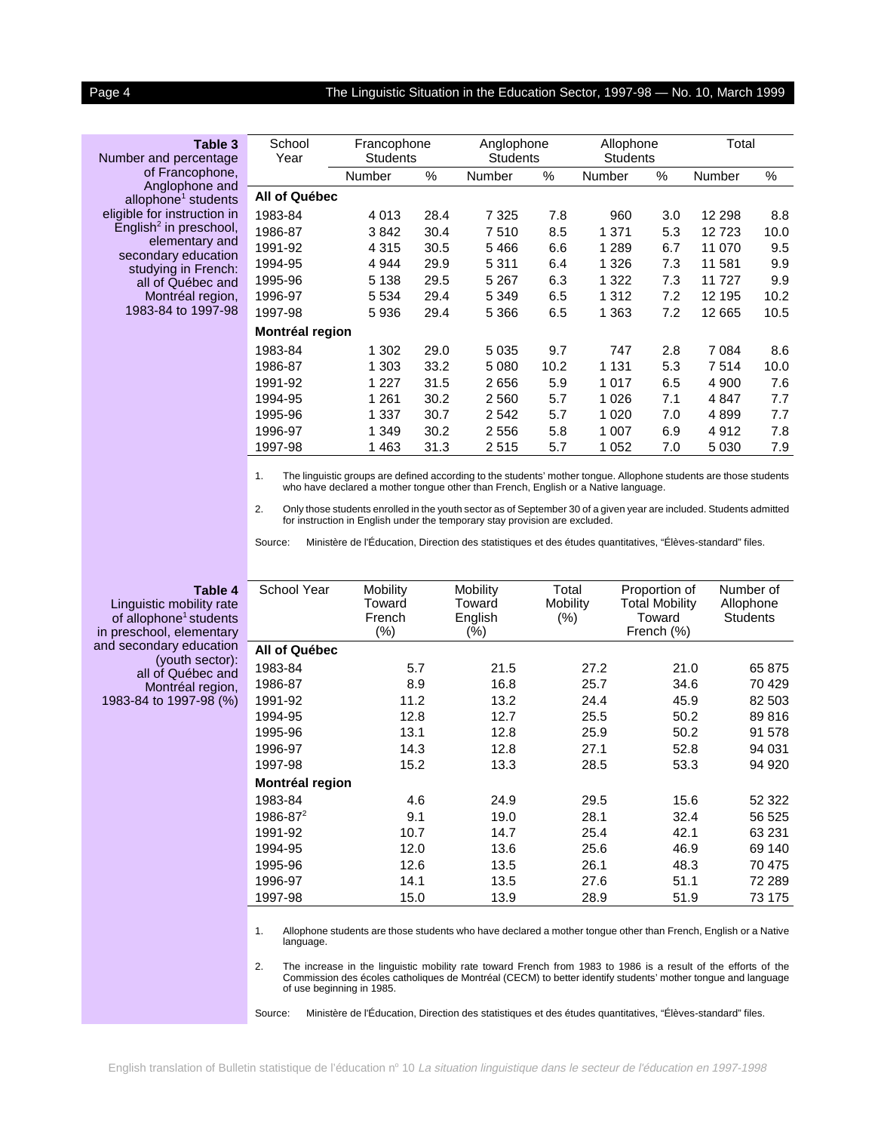#### <span id="page-3-0"></span>Page 4 The Linguistic Situation in the Education Sector, 1997-98 — No. 10, March 1999

#### **Table 3**

Number and percentage of Francophone, Anglophone and allophone<sup>1</sup> students eligible for instruction in  $\tilde{E}$ nglish<sup>2</sup> in preschool, elementary and secondary education studying in French: all of Québec and Montréal region, 1983-84 to 1997-98

| School<br>Year  | Francophone<br><b>Students</b> |      | Anglophone<br><b>Students</b> |      | Allophone<br><b>Students</b> |     | Total   |      |
|-----------------|--------------------------------|------|-------------------------------|------|------------------------------|-----|---------|------|
|                 | Number                         | %    | Number                        | $\%$ | Number                       | %   | Number  | %    |
| All of Québec   |                                |      |                               |      |                              |     |         |      |
| 1983-84         | 4 0 1 3                        | 28.4 | 7 3 2 5                       | 7.8  | 960                          | 3.0 | 12 298  | 8.8  |
| 1986-87         | 3842                           | 30.4 | 7510                          | 8.5  | 1 371                        | 5.3 | 12723   | 10.0 |
| 1991-92         | 4 3 1 5                        | 30.5 | 5466                          | 6.6  | 1 2 8 9                      | 6.7 | 11 070  | 9.5  |
| 1994-95         | 4 9 4 4                        | 29.9 | 5 3 1 1                       | 6.4  | 1 3 2 6                      | 7.3 | 11 581  | 9.9  |
| 1995-96         | 5 1 3 8                        | 29.5 | 5 2 6 7                       | 6.3  | 1 3 2 2                      | 7.3 | 11727   | 9.9  |
| 1996-97         | 5 5 3 4                        | 29.4 | 5 3 4 9                       | 6.5  | 1 3 1 2                      | 7.2 | 12 195  | 10.2 |
| 1997-98         | 5936                           | 29.4 | 5 3 6 6                       | 6.5  | 1 3 6 3                      | 7.2 | 12 665  | 10.5 |
| Montréal region |                                |      |                               |      |                              |     |         |      |
| 1983-84         | 1 302                          | 29.0 | 5 0 3 5                       | 9.7  | 747                          | 2.8 | 7 0 8 4 | 8.6  |
| 1986-87         | 1 303                          | 33.2 | 5 0 8 0                       | 10.2 | 1 1 3 1                      | 5.3 | 7514    | 10.0 |
| 1991-92         | 1 2 2 7                        | 31.5 | 2656                          | 5.9  | 1 0 1 7                      | 6.5 | 4 900   | 7.6  |
| 1994-95         | 1 2 6 1                        | 30.2 | 2 5 6 0                       | 5.7  | 1 0 2 6                      | 7.1 | 4847    | 7.7  |
| 1995-96         | 1 337                          | 30.7 | 2 5 4 2                       | 5.7  | 1 0 2 0                      | 7.0 | 4899    | 7.7  |
| 1996-97         | 1 349                          | 30.2 | 2 5 5 6                       | 5.8  | 1 0 0 7                      | 6.9 | 4912    | 7.8  |
| 1997-98         | 1463                           | 31.3 | 2 515                         | 5.7  | 1 0 5 2                      | 7.0 | 5 0 3 0 | 7.9  |
|                 |                                |      |                               |      |                              |     |         |      |

1. The linguistic groups are defined according to the students' mother tongue. Allophone students are those students who have declared a mother tongue other than French, English or a Native language.

2. Only those students enrolled in the youth sector as of September 30 of a given year are included. Students admitted for instruction in English under the temporary stay provision are excluded.

Source: Ministère de l'Éducation, Direction des statistiques et des études quantitatives, "Élèves-standard" files.

| School Year          | Mobility<br>Toward<br>French<br>(%) | Mobility<br>Toward<br>English<br>$(\%)$ | Total<br>Mobility<br>$(\%)$ | Proportion of<br><b>Total Mobility</b><br>Toward<br>French (%) | Number of<br>Allophone<br><b>Students</b> |
|----------------------|-------------------------------------|-----------------------------------------|-----------------------------|----------------------------------------------------------------|-------------------------------------------|
| <b>All of Québec</b> |                                     |                                         |                             |                                                                |                                           |
| 1983-84              | 5.7                                 | 21.5                                    | 27.2                        | 21.0                                                           | 65 875                                    |
| 1986-87              | 8.9                                 | 16.8                                    | 25.7                        | 34.6                                                           | 70 429                                    |
| 1991-92              | 11.2                                | 13.2                                    | 24.4                        | 45.9                                                           | 82 503                                    |
| 1994-95              | 12.8                                | 12.7                                    | 25.5                        | 50.2                                                           | 89816                                     |
| 1995-96              | 13.1                                | 12.8                                    | 25.9                        | 50.2                                                           | 91 578                                    |
| 1996-97              | 14.3                                | 12.8                                    | 27.1                        | 52.8                                                           | 94 031                                    |
| 1997-98              | 15.2                                | 13.3                                    | 28.5                        | 53.3                                                           | 94 920                                    |
| Montréal region      |                                     |                                         |                             |                                                                |                                           |
| 1983-84              | 4.6                                 | 24.9                                    | 29.5                        | 15.6                                                           | 52 322                                    |
| $1986 - 87^2$        | 9.1                                 | 19.0                                    | 28.1                        | 32.4                                                           | 56 525                                    |
| 1991-92              | 10.7                                | 14.7                                    | 25.4                        | 42.1                                                           | 63 231                                    |
| 1994-95              | 12.0                                | 13.6                                    | 25.6                        | 46.9                                                           | 69 140                                    |
| 1995-96              | 12.6                                | 13.5                                    | 26.1                        | 48.3                                                           | 70 475                                    |
| 1996-97              | 14.1                                | 13.5                                    | 27.6                        | 51.1                                                           | 72 289                                    |
| 1997-98              | 15.0                                | 13.9                                    | 28.9                        | 51.9                                                           | 73 175                                    |

1. Allophone students are those students who have declared a mother tongue other than French, English or a Native language.

2. The increase in the linguistic mobility rate toward French from 1983 to 1986 is a result of the efforts of the Commission des écoles catholiques de Montréal (CECM) to better identify students' mother tongue and language of use beginning in 1985.

Source: Ministère de l'Éducation, Direction des statistiques et des études quantitatives, "Élèves-standard" files.

**Table 4** Linguistic mobility rate of allophone<sup>1</sup> students in preschool, elementary and secondary education (youth sector): all of Québec and Montréal region, 1983-84 to 1997-98 (%)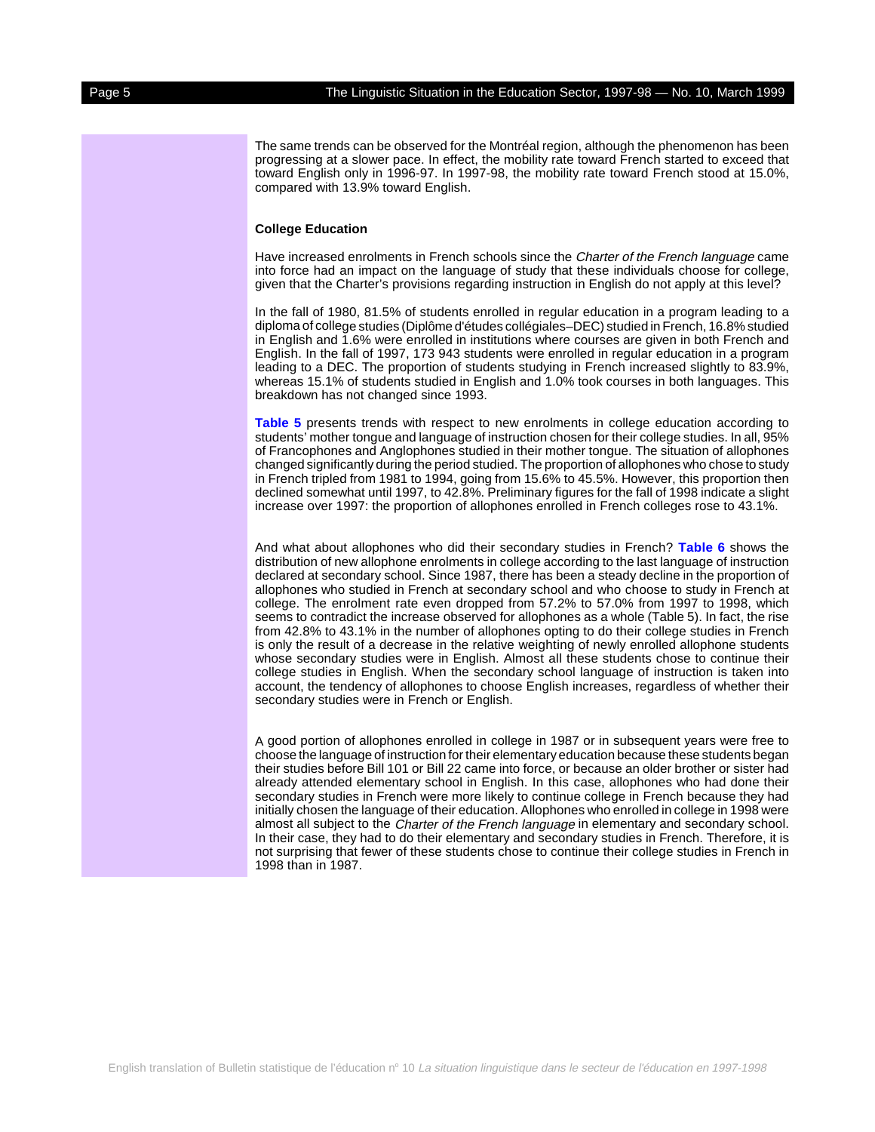The same trends can be observed for the Montréal region, although the phenomenon has been progressing at a slower pace. In effect, the mobility rate toward French started to exceed that toward English only in 1996-97. In 1997-98, the mobility rate toward French stood at 15.0%,

#### **College Education**

compared with 13.9% toward English.

Have increased enrolments in French schools since the Charter of the French language came into force had an impact on the language of study that these individuals choose for college, given that the Charter's provisions regarding instruction in English do not apply at this level?

In the fall of 1980, 81.5% of students enrolled in regular education in a program leading to a diploma of college studies (Diplôme d'études collégiales–DEC) studied in French, 16.8% studied in English and 1.6% were enrolled in institutions where courses are given in both French and English. In the fall of 1997, 173 943 students were enrolled in regular education in a program leading to a DEC. The proportion of students studying in French increased slightly to 83.9%, whereas 15.1% of students studied in English and 1.0% took courses in both languages. This breakdown has not changed since 1993.

**[Table 5](#page-5-0)** presents trends with respect to new enrolments in college education according to students' mother tongue and language of instruction chosen for their college studies. In all, 95% of Francophones and Anglophones studied in their mother tongue. The situation of allophones changed significantly during the period studied. The proportion of allophones who chose to study in French tripled from 1981 to 1994, going from 15.6% to 45.5%. However, this proportion then declined somewhat until 1997, to 42.8%. Preliminary figures for the fall of 1998 indicate a slight increase over 1997: the proportion of allophones enrolled in French colleges rose to 43.1%.

And what about allophones who did their secondary studies in French? **[Table 6](#page-5-0)** shows the distribution of new allophone enrolments in college according to the last language of instruction declared at secondary school. Since 1987, there has been a steady decline in the proportion of allophones who studied in French at secondary school and who choose to study in French at college. The enrolment rate even dropped from 57.2% to 57.0% from 1997 to 1998, which seems to contradict the increase observed for allophones as a whole (Table 5). In fact, the rise from 42.8% to 43.1% in the number of allophones opting to do their college studies in French is only the result of a decrease in the relative weighting of newly enrolled allophone students whose secondary studies were in English. Almost all these students chose to continue their college studies in English. When the secondary school language of instruction is taken into account, the tendency of allophones to choose English increases, regardless of whether their secondary studies were in French or English.

A good portion of allophones enrolled in college in 1987 or in subsequent years were free to choose the language of instruction for their elementary education because these students began their studies before Bill 101 or Bill 22 came into force, or because an older brother or sister had already attended elementary school in English. In this case, allophones who had done their secondary studies in French were more likely to continue college in French because they had initially chosen the language of their education. Allophones who enrolled in college in 1998 were almost all subject to the Charter of the French language in elementary and secondary school. In their case, they had to do their elementary and secondary studies in French. Therefore, it is not surprising that fewer of these students chose to continue their college studies in French in 1998 than in 1987.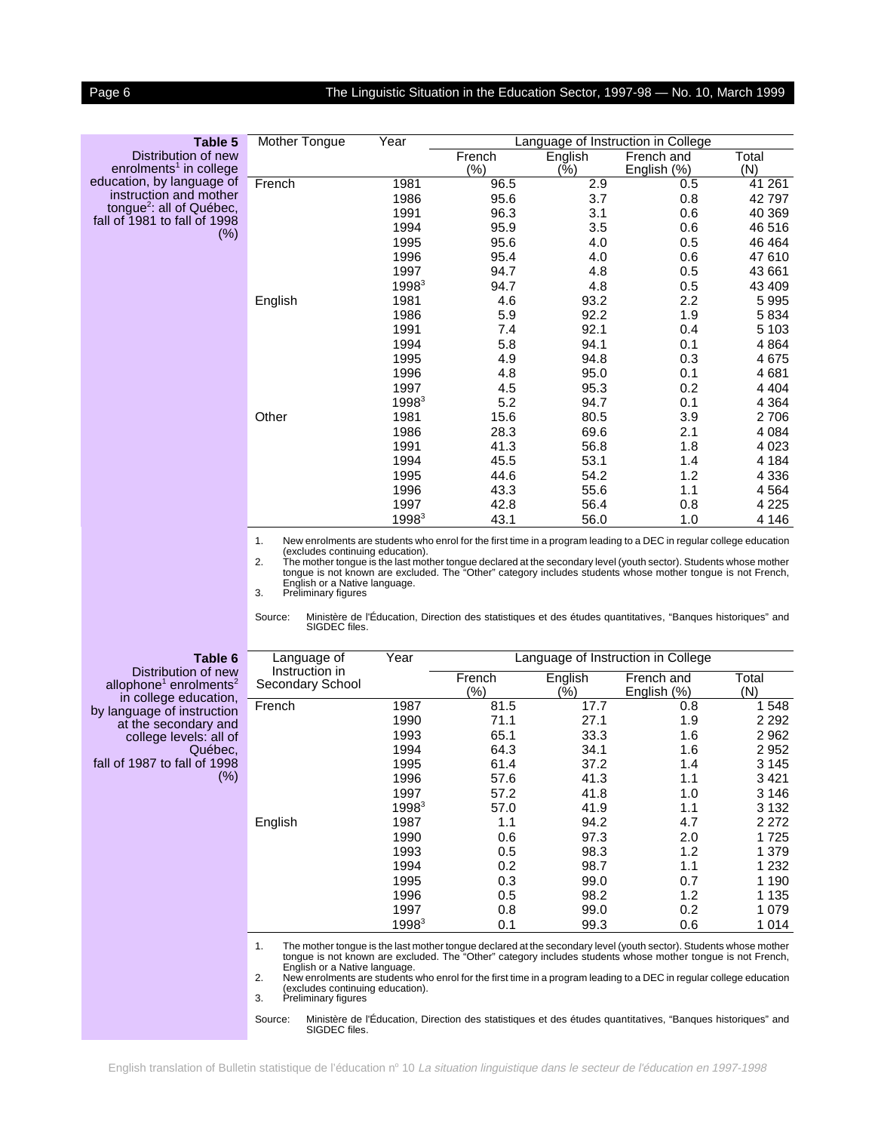#### <span id="page-5-0"></span>Page 6 The Linguistic Situation in the Education Sector, 1997-98 - No. 10, March 1999

| Table 5                              | Mother Tongue | Year              |         |         | Language of Instruction in College |         |
|--------------------------------------|---------------|-------------------|---------|---------|------------------------------------|---------|
| Distribution of new                  |               |                   | French  | English | French and                         | Total   |
| enrolments <sup>1</sup> in college   |               |                   | $(\% )$ | (%)     | English (%)                        | (N)     |
| education, by language of            | French        | 1981              | 96.5    | 2.9     | 0.5                                | 41 261  |
| instruction and mother               |               | 1986              | 95.6    | 3.7     | 0.8                                | 42 797  |
| tongue <sup>2</sup> : all of Québec, |               | 1991              | 96.3    | 3.1     | 0.6                                | 40 369  |
| fall of 1981 to fall of 1998         |               | 1994              | 95.9    | 3.5     | 0.6                                | 46 516  |
| $(\%)$                               |               | 1995              | 95.6    | 4.0     | 0.5                                | 46 4 64 |
|                                      |               | 1996              | 95.4    | 4.0     | 0.6                                | 47 610  |
|                                      |               | 1997              | 94.7    | 4.8     | 0.5                                | 43 661  |
|                                      |               | 1998 <sup>3</sup> | 94.7    | 4.8     | 0.5                                | 43 409  |
|                                      | English       | 1981              | 4.6     | 93.2    | 2.2                                | 5995    |
|                                      |               | 1986              | 5.9     | 92.2    | 1.9                                | 5834    |
|                                      |               | 1991              | 7.4     | 92.1    | 0.4                                | 5 1 0 3 |
|                                      |               | 1994              | 5.8     | 94.1    | 0.1                                | 4 8 6 4 |
|                                      |               | 1995              | 4.9     | 94.8    | 0.3                                | 4675    |
|                                      |               | 1996              | 4.8     | 95.0    | 0.1                                | 4681    |
|                                      |               | 1997              | 4.5     | 95.3    | 0.2                                | 4 4 0 4 |
|                                      |               | 1998 <sup>3</sup> | 5.2     | 94.7    | 0.1                                | 4 3 6 4 |
|                                      | Other         | 1981              | 15.6    | 80.5    | 3.9                                | 2 706   |
|                                      |               | 1986              | 28.3    | 69.6    | 2.1                                | 4 0 8 4 |
|                                      |               | 1991              | 41.3    | 56.8    | 1.8                                | 4 0 23  |
|                                      |               | 1994              | 45.5    | 53.1    | 1.4                                | 4 1 8 4 |
|                                      |               | 1995              | 44.6    | 54.2    | 1.2                                | 4 3 3 6 |
|                                      |               | 1996              | 43.3    | 55.6    | 1.1                                | 4 5 6 4 |
|                                      |               | 1997              | 42.8    | 56.4    | 0.8                                | 4 2 2 5 |
|                                      |               | 1998 <sup>3</sup> | 43.1    | 56.0    | 1.0                                | 4 1 4 6 |

1. New enrolments are students who enrol for the first time in a program leading to a DEC in regular college education<br>(excludes continuing education).<br>2. The mother tongue is the last mother tongue declared at the seconda

English or a Native language. 3. Preliminary figures

Source: Ministère de l'Éducation, Direction des statistiques et des études quantitatives, "Banques historiques" and SIGDEC files.

| Table 6                                                                                        | Language of                        | Year              | Language of Instruction in College |                |                           |              |
|------------------------------------------------------------------------------------------------|------------------------------------|-------------------|------------------------------------|----------------|---------------------------|--------------|
| Distribution of new<br>allophone <sup>1</sup> enrolments <sup>2</sup><br>in college education, | Instruction in<br>Secondary School |                   | French<br>(%)                      | English<br>(%) | French and<br>English (%) | Total<br>(N) |
| by language of instruction                                                                     | French                             | 1987              | 81.5                               | 17.7           | 0.8                       | 1 548        |
| at the secondary and                                                                           |                                    | 1990              | 71.1                               | 27.1           | 1.9                       | 2 2 9 2      |
| college levels: all of                                                                         |                                    | 1993              | 65.1                               | 33.3           | 1.6                       | 2 9 6 2      |
| Québec.                                                                                        |                                    | 1994              | 64.3                               | 34.1           | 1.6                       | 2 9 5 2      |
| fall of 1987 to fall of 1998                                                                   |                                    | 1995              | 61.4                               | 37.2           | 1.4                       | 3 1 4 5      |
| $(\%)$                                                                                         |                                    | 1996              | 57.6                               | 41.3           | 1.1                       | 3421         |
|                                                                                                |                                    | 1997              | 57.2                               | 41.8           | 1.0                       | 3 146        |
|                                                                                                |                                    | $1998^3$          | 57.0                               | 41.9           | 1.1                       | 3 1 3 2      |
|                                                                                                | English                            | 1987              | 1.1                                | 94.2           | 4.7                       | 2 2 7 2      |
|                                                                                                |                                    | 1990              | 0.6                                | 97.3           | 2.0                       | 1 725        |
|                                                                                                |                                    | 1993              | 0.5                                | 98.3           | 1.2                       | 1 379        |
|                                                                                                |                                    | 1994              | 0.2                                | 98.7           | 1.1                       | 1 2 3 2      |
|                                                                                                |                                    | 1995              | 0.3                                | 99.0           | 0.7                       | 1 190        |
|                                                                                                |                                    | 1996              | 0.5                                | 98.2           | 1.2                       | 1 1 3 5      |
|                                                                                                |                                    | 1997              | 0.8                                | 99.0           | 0.2                       | 1 0 7 9      |
|                                                                                                |                                    | 1998 <sup>3</sup> | 0.1                                | 99.3           | 0.6                       | 1 0 1 4      |

1. The mother tongue is the last mother tongue declared at the secondary level (youth sector). Students whose mother tongue is not known are excluded. The "Other" category includes students whose mother tongue is not French,

English or a Native language. 2. New enrolments are students who enrol for the first time in a program leading to a DEC in regular college education (excludes continuing education). 3. Preliminary figures

Source: Ministère de l'Éducation, Direction des statistiques et des études quantitatives, "Banques historiques" and SIGDEC files.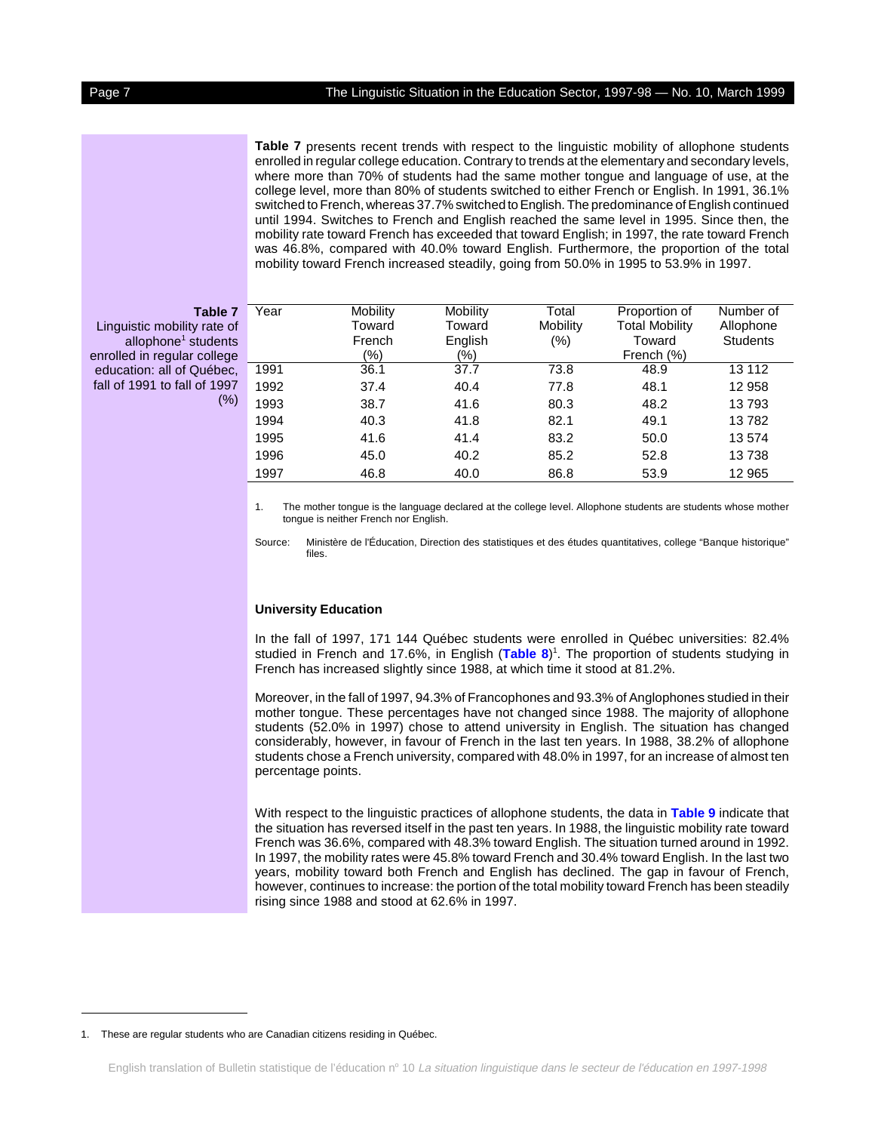#### Page 7 The Linguistic Situation in the Education Sector, 1997-98 — No. 10, March 1999

**Table 7** presents recent trends with respect to the linguistic mobility of allophone students enrolled in regular college education. Contrary to trends at the elementary and secondary levels, where more than 70% of students had the same mother tongue and language of use, at the college level, more than 80% of students switched to either French or English. In 1991, 36.1% switched to French, whereas 37.7% switched to English. The predominance of English continued until 1994. Switches to French and English reached the same level in 1995. Since then, the mobility rate toward French has exceeded that toward English; in 1997, the rate toward French was 46.8%, compared with 40.0% toward English. Furthermore, the proportion of the total mobility toward French increased steadily, going from 50.0% in 1995 to 53.9% in 1997.

#### **Table 7**

Linguistic mobility rate of allophone<sup>1</sup> students enrolled in regular college education: all of Québec, fall of 1991 to fall of 1997 (%)

| Year | Mobility<br>Toward | Mobility<br>Toward | Total<br>Mobility | Proportion of<br><b>Total Mobility</b> | Number of<br>Allophone |
|------|--------------------|--------------------|-------------------|----------------------------------------|------------------------|
|      | French             | English            | (%)               | Toward                                 | <b>Students</b>        |
|      | (%)                | (%)                |                   | French (%)                             |                        |
| 1991 | 36.1               | 37.7               | 73.8              | 48.9                                   | 13 112                 |
| 1992 | 37.4               | 40.4               | 77.8              | 48.1                                   | 12 958                 |
| 1993 | 38.7               | 41.6               | 80.3              | 48.2                                   | 13793                  |
| 1994 | 40.3               | 41.8               | 82.1              | 49.1                                   | 13782                  |
| 1995 | 41.6               | 41.4               | 83.2              | 50.0                                   | 13 574                 |
| 1996 | 45.0               | 40.2               | 85.2              | 52.8                                   | 13738                  |
| 1997 | 46.8               | 40.0               | 86.8              | 53.9                                   | 12 965                 |

1. The mother tongue is the language declared at the college level. Allophone students are students whose mother tongue is neither French nor English.

Source: Ministère de l'Éducation, Direction des statistiques et des études quantitatives, college "Banque historique" files.

#### **University Education**

In the fall of 1997, 171 144 Québec students were enrolled in Québec universities: 82.4% studied in French and 17.6%, in English ([Table 8](#page-7-0))<sup>1</sup>. The proportion of students studying in French has increased slightly since 1988, at which time it stood at 81.2%.

Moreover, in the fall of 1997, 94.3% of Francophones and 93.3% of Anglophones studied in their mother tongue. These percentages have not changed since 1988. The majority of allophone students (52.0% in 1997) chose to attend university in English. The situation has changed considerably, however, in favour of French in the last ten years. In 1988, 38.2% of allophone students chose a French university, compared with 48.0% in 1997, for an increase of almost ten percentage points.

With respect to the linguistic practices of allophone students, the data in **[Table 9](#page-7-0)** indicate that the situation has reversed itself in the past ten years. In 1988, the linguistic mobility rate toward French was 36.6%, compared with 48.3% toward English. The situation turned around in 1992. In 1997, the mobility rates were 45.8% toward French and 30.4% toward English. In the last two years, mobility toward both French and English has declined. The gap in favour of French, however, continues to increase: the portion of the total mobility toward French has been steadily rising since 1988 and stood at 62.6% in 1997.

<sup>1.</sup> These are regular students who are Canadian citizens residing in Québec.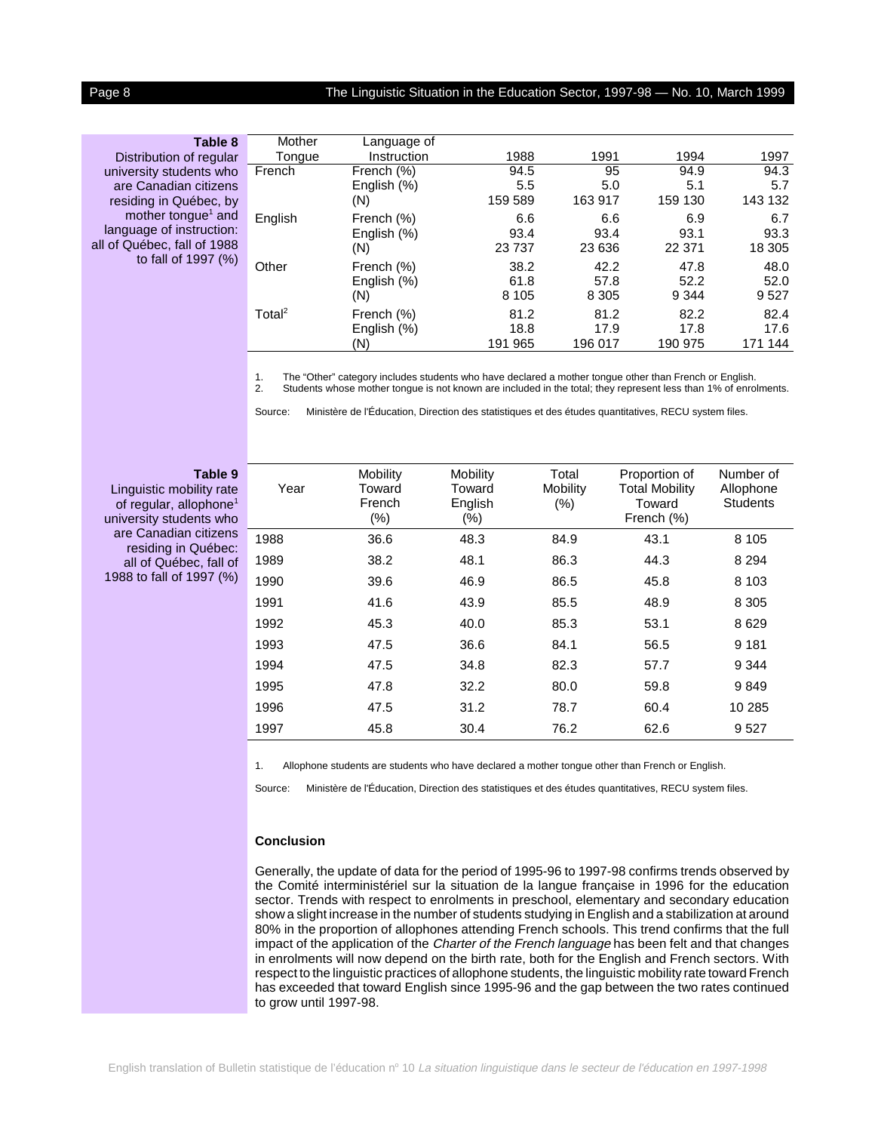#### <span id="page-7-0"></span>Page 8 The Linguistic Situation in the Education Sector, 1997-98 — No. 10, March 1999

| Table 8                        | Mother             | Language of<br>Instruction | 1988    | 1991    | 1994    | 1997       |
|--------------------------------|--------------------|----------------------------|---------|---------|---------|------------|
| Distribution of regular        | Tongue             |                            |         |         |         |            |
| university students who        | French             | French (%)                 | 94.5    | 95      | 94.9    | 94.3       |
| are Canadian citizens          |                    | English (%)                | 5.5     | 5.0     | 5.1     | 5.7        |
| residing in Québec, by         |                    | (N)                        | 159 589 | 163 917 | 159 130 | 143 132    |
| mother tongue <sup>1</sup> and | English            | French (%)                 | 6.6     | 6.6     | 6.9     | 6.7        |
| language of instruction:       |                    | English (%)                | 93.4    | 93.4    | 93.1    | 93.3       |
| all of Québec, fall of 1988    |                    | (N)                        | 23737   | 23 636  | 22 371  | 18 305     |
| to fall of 1997 $(%)$          | Other              | French (%)                 | 38.2    | 42.2    | 47.8    | 48.0       |
|                                |                    | English (%)                | 61.8    | 57.8    | 52.2    | 52.0       |
|                                |                    | (N)                        | 8 1 0 5 | 8 3 0 5 | 9 3 4 4 | 9 5 2 7    |
|                                | Total <sup>2</sup> | French (%)                 | 81.2    | 81.2    | 82.2    | 82.4       |
|                                |                    | English (%)                | 18.8    | 17.9    | 17.8    | 17.6       |
|                                |                    | (N)                        | 191 965 | 196 017 | 190 975 | 144<br>171 |
|                                |                    |                            |         |         |         |            |

1. The "Other" category includes students who have declared a mother tongue other than French or English. 2. Students whose mother tongue is not known are included in the total; they represent less than 1% of enrolments.

Source: Ministère de l'Éducation, Direction des statistiques et des études quantitatives, RECU system files.

#### **Table 9**

Linguistic mobility rate of regular, allophone<sup>1</sup> university students who are Canadian citizens residing in Québec: all of Québec, fall of 1988 to fall of 1997 (%)

| Year | Mobility<br>Toward<br>French<br>$(\%)$ | Mobility<br>Toward<br>English<br>$(\% )$ | Total<br>Mobility<br>(% ) | Proportion of<br><b>Total Mobility</b><br>Toward<br>French (%) | Number of<br>Allophone<br><b>Students</b> |
|------|----------------------------------------|------------------------------------------|---------------------------|----------------------------------------------------------------|-------------------------------------------|
| 1988 | 36.6                                   | 48.3                                     | 84.9                      | 43.1                                                           | 8 1 0 5                                   |
| 1989 | 38.2                                   | 48.1                                     | 86.3                      | 44.3                                                           | 8 2 9 4                                   |
| 1990 | 39.6                                   | 46.9                                     | 86.5                      | 45.8                                                           | 8 1 0 3                                   |
| 1991 | 41.6                                   | 43.9                                     | 85.5                      | 48.9                                                           | 8 3 0 5                                   |
| 1992 | 45.3                                   | 40.0                                     | 85.3                      | 53.1                                                           | 8629                                      |
| 1993 | 47.5                                   | 36.6                                     | 84.1                      | 56.5                                                           | 9 1 8 1                                   |
| 1994 | 47.5                                   | 34.8                                     | 82.3                      | 57.7                                                           | 9 3 4 4                                   |
| 1995 | 47.8                                   | 32.2                                     | 80.0                      | 59.8                                                           | 9849                                      |
| 1996 | 47.5                                   | 31.2                                     | 78.7                      | 60.4                                                           | 10 285                                    |
| 1997 | 45.8                                   | 30.4                                     | 76.2                      | 62.6                                                           | 9527                                      |

1. Allophone students are students who have declared a mother tongue other than French or English.

Source: Ministère de l'Éducation, Direction des statistiques et des études quantitatives, RECU system files.

#### **Conclusion**

Generally, the update of data for the period of 1995-96 to 1997-98 confirms trends observed by the Comité interministériel sur la situation de la langue française in 1996 for the education sector. Trends with respect to enrolments in preschool, elementary and secondary education show a slight increase in the number of students studying in English and a stabilization at around 80% in the proportion of allophones attending French schools. This trend confirms that the full impact of the application of the Charter of the French language has been felt and that changes in enrolments will now depend on the birth rate, both for the English and French sectors. With respect to the linguistic practices of allophone students, the linguistic mobility rate toward French has exceeded that toward English since 1995-96 and the gap between the two rates continued to grow until 1997-98.